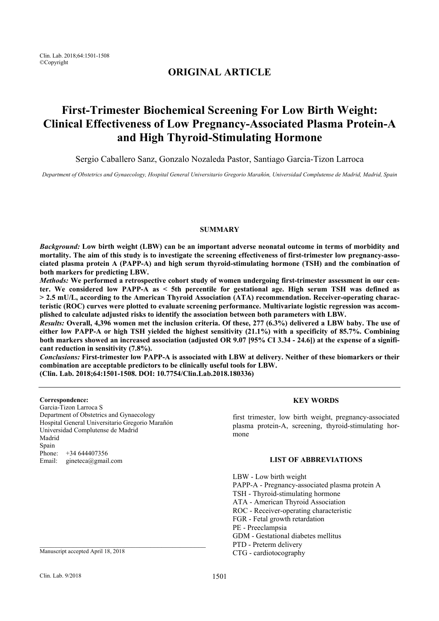Clin. Lab. 2018;64:1501-1508 ©Copyright

# **ORIGINAL ARTICLE**

# **First-Trimester Biochemical Screening For Low Birth Weight: Clinical Effectiveness of Low Pregnancy-Associated Plasma Protein-A and High Thyroid-Stimulating Hormone**

Sergio Caballero Sanz, Gonzalo Nozaleda Pastor, Santiago Garcia-Tizon Larroca

*Department of Obstetrics and Gynaecology, Hospital General Universitario Gregorio Marañón, Universidad Complutense de Madrid, Madrid, Spain* 

# **SUMMARY**

*Background:* **Low birth weight (LBW) can be an important adverse neonatal outcome in terms of morbidity and mortality. The aim of this study is to investigate the screening effectiveness of first-trimester low pregnancy-associated plasma protein A (PAPP-A) and high serum thyroid-stimulating hormone (TSH) and the combination of both markers for predicting LBW.** 

*Methods:* **We performed a retrospective cohort study of women undergoing first-trimester assessment in our center. We considered low PAPP-A as < 5th percentile for gestational age. High serum TSH was defined as > 2.5 mU/L, according to the American Thyroid Association (ATA) recommendation. Receiver-operating characteristic (ROC) curves were plotted to evaluate screening performance. Multivariate logistic regression was accomplished to calculate adjusted risks to identify the association between both parameters with LBW.** 

*Results:* **Overall, 4,396 women met the inclusion criteria. Of these, 277 (6.3%) delivered a LBW baby. The use of either low PAPP-A or high TSH yielded the highest sensitivity (21.1%) with a specificity of 85.7%. Combining both markers showed an increased association (adjusted OR 9.07 [95% CI 3.34 - 24.6]) at the expense of a significant reduction in sensitivity (7.8%).** 

*Conclusions:* **First-trimester low PAPP-A is associated with LBW at delivery. Neither of these biomarkers or their combination are acceptable predictors to be clinically useful tools for LBW.** 

**(Clin. Lab. 2018;64:1501-1508. DOI: 10.7754/Clin.Lab.2018.180336)** 

# **Correspondence:**

Garcia-Tizon Larroca S Department of Obstetrics and Gynaecology Hospital General Universitario Gregorio Marañón Universidad Complutense de Madrid Madrid Spain Phone: +34 644407356 Email: gineteca@gmail.com

**KEY WORDS** 

first trimester, low birth weight, pregnancy-associated plasma protein-A, screening, thyroid-stimulating hormone

# **LIST OF ABBREVIATIONS**

LBW - Low birth weight PAPP-A - Pregnancy-associated plasma protein A TSH - Thyroid-stimulating hormone ATA - American Thyroid Association ROC - Receiver-operating characteristic FGR - Fetal growth retardation PE - Preeclampsia GDM - Gestational diabetes mellitus PTD - Preterm delivery CTG - cardiotocography

Manuscript accepted April 18, 2018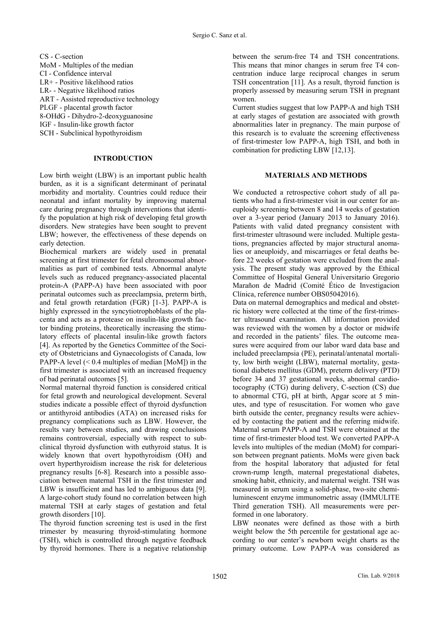CS - C-section MoM - Multiples of the median CI - Confidence interval LR+ - Positive likelihood ratios LR- - Negative likelihood ratios ART - Assisted reproductive technology PLGF - placental growth factor 8-OHdG - Dihydro-2-deoxyguanosine IGF - Insulin-like growth factor SCH - Subclinical hypothyroidism

# **INTRODUCTION**

Low birth weight (LBW) is an important public health burden, as it is a significant determinant of perinatal morbidity and mortality. Countries could reduce their neonatal and infant mortality by improving maternal care during pregnancy through interventions that identify the population at high risk of developing fetal growth disorders. New strategies have been sought to prevent LBW; however, the effectiveness of these depends on early detection.

Biochemical markers are widely used in prenatal screening at first trimester for fetal chromosomal abnormalities as part of combined tests. Abnormal analyte levels such as reduced pregnancy-associated placental protein-A (PAPP-A) have been associated with poor perinatal outcomes such as preeclampsia, preterm birth, and fetal growth retardation (FGR) [1-3]. PAPP-A is highly expressed in the syncytiotrophoblasts of the placenta and acts as a protease on insulin-like growth factor binding proteins, theoretically increasing the stimulatory effects of placental insulin-like growth factors [4]. As reported by the Genetics Committee of the Society of Obstetricians and Gynaecologists of Canada, low PAPP-A level  $(< 0.4$  multiples of median [MoM]) in the first trimester is associated with an increased frequency of bad perinatal outcomes [5].

Normal maternal thyroid function is considered critical for fetal growth and neurological development. Several studies indicate a possible effect of thyroid dysfunction or antithyroid antibodies (ATA) on increased risks for pregnancy complications such as LBW. However, the results vary between studies, and drawing conclusions remains controversial, especially with respect to subclinical thyroid dysfunction with euthyroid status. It is widely known that overt hypothyroidism (OH) and overt hyperthyroidism increase the risk for deleterious pregnancy results [6-8]. Research into a possible association between maternal TSH in the first trimester and LBW is insufficient and has led to ambiguous data [9]. A large-cohort study found no correlation between high maternal TSH at early stages of gestation and fetal growth disorders [10].

The thyroid function screening test is used in the first trimester by measuring thyroid-stimulating hormone (TSH), which is controlled through negative feedback by thyroid hormones. There is a negative relationship

between the serum-free T4 and TSH concentrations. This means that minor changes in serum free T4 concentration induce large reciprocal changes in serum TSH concentration [11]. As a result, thyroid function is properly assessed by measuring serum TSH in pregnant women.

Current studies suggest that low PAPP-A and high TSH at early stages of gestation are associated with growth abnormalities later in pregnancy. The main purpose of this research is to evaluate the screening effectiveness of first-trimester low PAPP-A, high TSH, and both in combination for predicting LBW [12,13].

# **MATERIALS AND METHODS**

We conducted a retrospective cohort study of all patients who had a first-trimester visit in our center for aneuploidy screening between 8 and 14 weeks of gestation over a 3-year period (January 2013 to January 2016). Patients with valid dated pregnancy consistent with first-trimester ultrasound were included. Multiple gestations, pregnancies affected by major structural anomalies or aneuploidy, and miscarriages or fetal deaths before 22 weeks of gestation were excluded from the analysis. The present study was approved by the Ethical Committee of Hospital General Universitario Gregorio Marañon de Madrid (Comité Ético de Investigacion Clínica, reference number OBS05042016).

Data on maternal demographics and medical and obstetric history were collected at the time of the first-trimester ultrasound examination. All information provided was reviewed with the women by a doctor or midwife and recorded in the patients' files. The outcome measures were acquired from our labor ward data base and included preeclampsia (PE), perinatal/antenatal mortality, low birth weight (LBW), maternal mortality, gestational diabetes mellitus (GDM), preterm delivery (PTD) before 34 and 37 gestational weeks, abnormal cardiotocography (CTG) during delivery, C-section (CS) due to abnormal CTG, pH at birth, Apgar score at 5 minutes, and type of resuscitation. For women who gave birth outside the center, pregnancy results were achieved by contacting the patient and the referring midwife. Maternal serum PAPP-A and TSH were obtained at the time of first-trimester blood test. We converted PAPP-A levels into multiples of the median (MoM) for comparison between pregnant patients. MoMs were given back from the hospital laboratory that adjusted for fetal crown-rump length, maternal pregestational diabetes, smoking habit, ethnicity, and maternal weight. TSH was measured in serum using a solid-phase, two-site chemiluminescent enzyme immunometric assay (IMMULITE Third generation TSH). All measurements were performed in one laboratory.

LBW neonates were defined as those with a birth weight below the 5th percentile for gestational age according to our center's newborn weight charts as the primary outcome. Low PAPP-A was considered as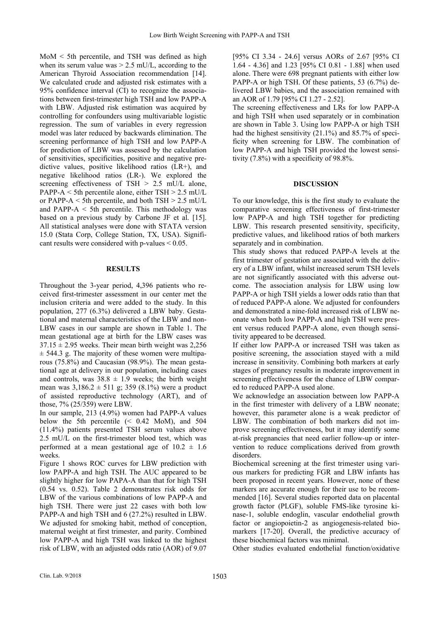MoM < 5th percentile, and TSH was defined as high when its serum value was  $> 2.5$  mU/L, according to the American Thyroid Association recommendation [14]. We calculated crude and adjusted risk estimates with a 95% confidence interval (CI) to recognize the associations between first-trimester high TSH and low PAPP-A with LBW. Adjusted risk estimation was acquired by controlling for confounders using multivariable logistic regression. The sum of variables in every regression model was later reduced by backwards elimination. The screening performance of high TSH and low PAPP-A for prediction of LBW was assessed by the calculation of sensitivities, specificities, positive and negative predictive values, positive likelihood ratios (LR+), and negative likelihood ratios (LR-). We explored the screening effectiveness of  $TSH > 2.5$  mU/L alone, PAPP-A  $\le$  5th percentile alone, either TSH  $>$  2.5 mU/L or PAPP-A  $\le$  5th percentile, and both TSH  $>$  2.5 mU/L and PAPP- $A \le 5$ th percentile. This methodology was based on a previous study by Carbone JF et al. [15]. All statistical analyses were done with STATA version 15.0 (Stata Corp, College Station, TX, USA). Significant results were considered with p-values < 0.05.

# **RESULTS**

Throughout the 3-year period, 4,396 patients who received first-trimester assessment in our center met the inclusion criteria and were added to the study. In this population, 277 (6.3%) delivered a LBW baby. Gestational and maternal characteristics of the LBW and non-LBW cases in our sample are shown in Table 1. The mean gestational age at birth for the LBW cases was  $37.15 \pm 2.95$  weeks. Their mean birth weight was 2,256  $\pm$  544.3 g. The majority of these women were multiparous (75.8%) and Caucasian (98.9%). The mean gestational age at delivery in our population, including cases and controls, was  $38.8 \pm 1.9$  weeks; the birth weight mean was  $3,186.2 \pm 511$  g; 359 (8.1%) were a product of assisted reproductive technology (ART), and of those, 7% (25/359) were LBW.

In our sample, 213 (4.9%) women had PAPP-A values below the 5th percentile (< 0.42 MoM), and 504 (11.4%) patients presented TSH serum values above 2.5 mU/L on the first-trimester blood test, which was performed at a mean gestational age of  $10.2 \pm 1.6$ weeks.

Figure 1 shows ROC curves for LBW prediction with low PAPP-A and high TSH. The AUC appeared to be slightly higher for low PAPA-A than that for high TSH (0.54 vs. 0.52). Table 2 demonstrates risk odds for LBW of the various combinations of low PAPP-A and high TSH. There were just 22 cases with both low PAPP-A and high TSH and 6 (27.2%) resulted in LBW. We adjusted for smoking habit, method of conception, maternal weight at first trimester, and parity. Combined low PAPP-A and high TSH was linked to the highest risk of LBW, with an adjusted odds ratio (AOR) of 9.07 [95% CI 3.34 - 24.6] versus AORs of 2.67 [95% CI 1.64 - 4.36] and 1.23 [95% CI 0.81 - 1.88] when used alone. There were 698 pregnant patients with either low PAPP-A or high TSH. Of these patients, 53 (6.7%) delivered LBW babies, and the association remained with an AOR of 1.79 [95% CI 1.27 - 2.52].

The screening effectiveness and LRs for low PAPP-A and high TSH when used separately or in combination are shown in Table 3. Using low PAPP-A or high TSH had the highest sensitivity (21.1%) and 85.7% of specificity when screening for LBW. The combination of low PAPP-A and high TSH provided the lowest sensitivity (7.8%) with a specificity of 98.8%.

# **DISCUSSION**

To our knowledge, this is the first study to evaluate the comparative screening effectiveness of first-trimester low PAPP-A and high TSH together for predicting LBW. This research presented sensitivity, specificity, predictive values, and likelihood ratios of both markers separately and in combination.

This study shows that reduced PAPP-A levels at the first trimester of gestation are associated with the delivery of a LBW infant, whilst increased serum TSH levels are not significantly associated with this adverse outcome. The association analysis for LBW using low PAPP-A or high TSH yields a lower odds ratio than that of reduced PAPP-A alone. We adjusted for confounders and demonstrated a nine-fold increased risk of LBW neonate when both low PAPP-A and high TSH were present versus reduced PAPP-A alone, even though sensitivity appeared to be decreased.

If either low PAPP-A or increased TSH was taken as positive screening, the association stayed with a mild increase in sensitivity. Combining both markers at early stages of pregnancy results in moderate improvement in screening effectiveness for the chance of LBW compared to reduced PAPP-A used alone.

We acknowledge an association between low PAPP-A in the first trimester with delivery of a LBW neonate; however, this parameter alone is a weak predictor of LBW. The combination of both markers did not improve screening effectiveness, but it may identify some at-risk pregnancies that need earlier follow-up or intervention to reduce complications derived from growth disorders.

Biochemical screening at the first trimester using various markers for predicting FGR and LBW infants has been proposed in recent years. However, none of these markers are accurate enough for their use to be recommended [16]. Several studies reported data on placental growth factor (PLGF), soluble FMS-like tyrosine kinase-1, soluble endoglin, vascular endothelial growth factor or angiopoietin-2 as angiogenesis-related biomarkers [17-20]. Overall, the predictive accuracy of these biochemical factors was minimal.

Other studies evaluated endothelial function/oxidative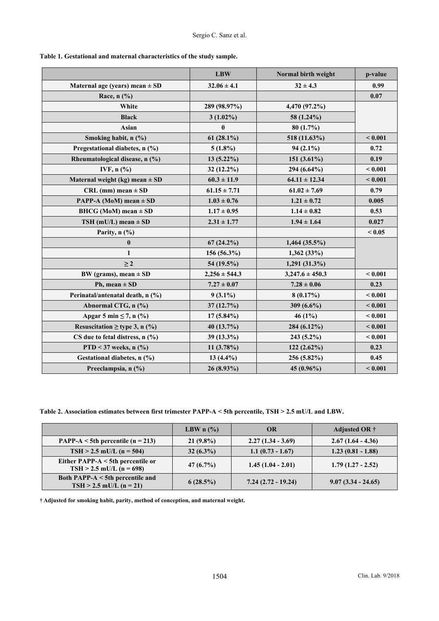|                                     | <b>LBW</b>        | Normal birth weight | p-value |
|-------------------------------------|-------------------|---------------------|---------|
| Maternal age (years) mean $\pm$ SD  | $32.06 \pm 4.1$   | $32 \pm 4.3$        | 0.99    |
| Race, $n$ (%)                       |                   |                     | 0.07    |
| White                               | 289 (98.97%)      | 4,470 (97.2%)       |         |
| <b>Black</b>                        | $3(1.02\%)$       | 58 (1.24%)          |         |
| Asian                               | $\bf{0}$          | 80(1.7%)            |         |
| Smoking habit, n (%)                | $61(28.1\%)$      | 518 (11.63%)        | < 0.001 |
| Pregestational diabetes, n (%)      | $5(1.8\%)$        | $94(2.1\%)$         | 0.72    |
| Rheumatological disease, n (%)      | $13(5.22\%)$      | 151 $(3.61\%)$      | 0.19    |
| IVF, $n$ $\left(\frac{9}{6}\right)$ | 32 (12.2%)        | 294 (6.64%)         | < 0.001 |
| Maternal weight (kg) mean $\pm$ SD  | $60.3 \pm 11.9$   | $64.11 \pm 12.34$   | < 0.001 |
| $CRL$ (mm) mean $\pm SD$            | $61.15 \pm 7.71$  | $61.02 \pm 7.69$    | 0.79    |
| <b>PAPP-A (MoM)</b> mean $\pm$ SD   | $1.03 \pm 0.76$   | $1.21 \pm 0.72$     | 0.005   |
| BHCG (MoM) mean $\pm$ SD            | $1.17 \pm 0.95$   | $1.14 \pm 0.82$     | 0.53    |
| TSH (mU/L) mean $\pm$ SD            | $2.31 \pm 1.77$   | $1.94 \pm 1.64$     | 0.027   |
| Parity, $n$ (%)                     |                   |                     | < 0.05  |
| $\bf{0}$                            | $67(24.2\%)$      | $1,464$ (35.5%)     |         |
| 1                                   | 156 (56.3%)       | 1,362(33%)          |         |
| $\geq 2$                            | 54 (19.5%)        | 1,291 (31.3%)       |         |
| BW (grams), mean $\pm$ SD           | $2,256 \pm 544.3$ | $3,247.6 \pm 450.3$ | < 0.001 |
| Ph, mean $\pm$ SD                   | $7.27 \pm 0.07$   | $7.28 \pm 0.06$     | 0.23    |
| Perinatal/antenatal death, n (%)    | $9(3.1\%)$        | 8(0.17%)            | < 0.001 |
| Abnormal CTG, n (%)                 | 37(12.7%)         | 309 $(6.6\%)$       | < 0.001 |
| Apgar 5 min $\leq$ 7, n $(\%$ )     | 17 (5.84%)        | 46 (1%)             | < 0.001 |
| Resuscitation $\geq$ type 3, n (%)  | 40 (13.7%)        | 284 (6.12%)         | < 0.001 |
| CS due to fetal distress, $n$ (%)   | 39 (13.3%)        | $243(5.2\%)$        | < 0.001 |
| PTD < 37 weeks, $n$ (%)             | $11(3.78\%)$      | $122(2.62\%)$       | 0.23    |
| Gestational diabetes, n (%)         | 13 $(4.4\%)$      | 256 (5.82%)         | 0.45    |
| Preeclampsia, n (%)                 | 26 (8.93%)        | 45 (0.96%)          | < 0.001 |

**Table 1. Gestational and maternal characteristics of the study sample.** 

**Table 2. Association estimates between first trimester PAPP-A < 5th percentile, TSH > 2.5 mU/L and LBW.** 

|                                                                 | LBW $n$ (%) | <b>OR</b>            | Adjusted OR $\dagger$ |
|-----------------------------------------------------------------|-------------|----------------------|-----------------------|
| PAPP-A $\le$ 5th percentile (n = 213)                           | $21(9.8\%)$ | $2.27(1.34 - 3.69)$  | $2.67(1.64 - 4.36)$   |
| $TSH > 2.5$ mU/L (n = 504)                                      | $32(6.3\%)$ | $1.1(0.73 - 1.67)$   | $1.23(0.81 - 1.88)$   |
| Either PAPP-A < 5th percentile or<br>$TSH > 2.5$ mU/L (n = 698) | $47(6.7\%)$ | $1.45(1.04 - 2.01)$  | $1.79(1.27 - 2.52)$   |
| Both PAPP-A < 5th percentile and<br>$TSH > 2.5$ mU/L (n = 21)   | 6(28.5%)    | $7.24(2.72 - 19.24)$ | $9.07(3.34 - 24.65)$  |

**† Adjusted for smoking habit, parity, method of conception, and maternal weight.**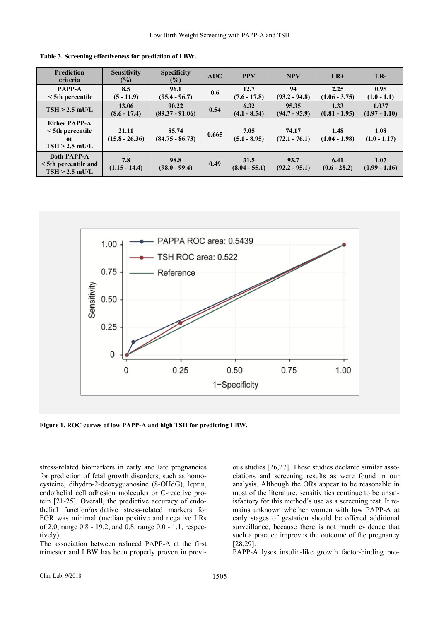| <b>Prediction</b><br>criteria                                          | <b>Sensitivity</b><br>$(\%)$ | <b>Specificity</b><br>$(\%)$ | AUC   | <b>PPV</b>              | <b>NPV</b>               | $LR+$                   | $LR-$                    |
|------------------------------------------------------------------------|------------------------------|------------------------------|-------|-------------------------|--------------------------|-------------------------|--------------------------|
| <b>PAPP-A</b><br>$\le$ 5th percentile                                  | 8.5<br>$(5 - 11.9)$          | 96.1<br>$(95.4 - 96.7)$      | 0.6   | 12.7<br>$(7.6 - 17.8)$  | 94<br>$(93.2 - 94.8)$    | 2.25<br>$(1.06 - 3.75)$ | 0.95<br>$(1.0 - 1.1)$    |
| $TSH > 2.5$ mU/L                                                       | 13.06<br>$(8.6 - 17.4)$      | 90.22<br>$(89.37 - 91.06)$   | 0.54  | 6.32<br>$(4.1 - 8.54)$  | 95.35<br>$(94.7 - 95.9)$ | 1.33<br>$(0.81 - 1.95)$ | 1.037<br>$(0.97 - 1.10)$ |
| <b>Either PAPP-A</b><br>$\le$ 5th percentile<br>or<br>$TSH > 2.5$ mU/L | 21.11<br>$(15.8 - 26.36)$    | 85.74<br>$(84.75 - 86.73)$   | 0.665 | 7.05<br>$(5.1 - 8.95)$  | 74.17<br>$(72.1 - 76.1)$ | 1.48<br>$(1.04 - 1.98)$ | 1.08<br>$(1.0 - 1.17)$   |
| <b>Both PAPP-A</b><br><5th percentile and<br>$TSH > 2.5$ mU/L          | 7.8<br>$(1.15 - 14.4)$       | 98.8<br>$(98.0 - 99.4)$      | 0.49  | 31.5<br>$(8.04 - 55.1)$ | 93.7<br>$(92.2 - 95.1)$  | 6.41<br>$(0.6 - 28.2)$  | 1.07<br>$(0.99 - 1.16)$  |

**Table 3. Screening effectiveness for prediction of LBW.** 



**Figure 1. ROC curves of low PAPP-A and high TSH for predicting LBW.** 

stress-related biomarkers in early and late pregnancies for prediction of fetal growth disorders, such as homocysteine, dihydro-2-deoxyguanosine (8-OHdG), leptin, endothelial cell adhesion molecules or C-reactive protein [21-25]. Overall, the predictive accuracy of endothelial function/oxidative stress-related markers for FGR was minimal (median positive and negative LRs of 2.0, range 0.8 - 19.2, and 0.8, range 0.0 - 1.1, respectively).

The association between reduced PAPP-A at the first trimester and LBW has been properly proven in previous studies [26,27]. These studies declared similar associations and screening results as were found in our analysis. Although the ORs appear to be reasonable in most of the literature, sensitivities continue to be unsatisfactory for this method´s use as a screening test. It remains unknown whether women with low PAPP-A at early stages of gestation should be offered additional surveillance, because there is not much evidence that such a practice improves the outcome of the pregnancy [28,29].

PAPP-A lyses insulin-like growth factor-binding pro-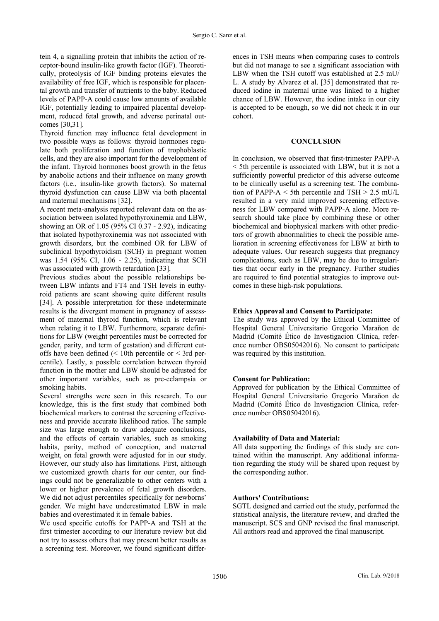tein 4, a signalling protein that inhibits the action of receptor-bound insulin-like growth factor (IGF). Theoretically, proteolysis of IGF binding proteins elevates the availability of free IGF, which is responsible for placental growth and transfer of nutrients to the baby. Reduced levels of PAPP-A could cause low amounts of available IGF, potentially leading to impaired placental development, reduced fetal growth, and adverse perinatal outcomes [30,31].

Thyroid function may influence fetal development in two possible ways as follows: thyroid hormones regulate both proliferation and function of trophoblastic cells, and they are also important for the development of the infant. Thyroid hormones boost growth in the fetus by anabolic actions and their influence on many growth factors (i.e., insulin-like growth factors). So maternal thyroid dysfunction can cause LBW via both placental and maternal mechanisms [32].

A recent meta-analysis reported relevant data on the association between isolated hypothyroxinemia and LBW, showing an OR of 1.05 (95% CI 0.37 - 2.92), indicating that isolated hypothyroxinemia was not associated with growth disorders, but the combined OR for LBW of subclinical hypothyroidism (SCH) in pregnant women was 1.54 (95% CI, 1.06 - 2.25), indicating that SCH was associated with growth retardation [33].

Previous studies about the possible relationships between LBW infants and FT4 and TSH levels in euthyroid patients are scant showing quite different results [34]. A possible interpretation for these indeterminate results is the divergent moment in pregnancy of assessment of maternal thyroid function, which is relevant when relating it to LBW. Furthermore, separate definitions for LBW (weight percentiles must be corrected for gender, parity, and term of gestation) and different cutoffs have been defined  $\ll 10$ th percentile or  $\lt 3$ rd percentile). Lastly, a possible correlation between thyroid function in the mother and LBW should be adjusted for other important variables, such as pre-eclampsia or smoking habits.

Several strengths were seen in this research. To our knowledge, this is the first study that combined both biochemical markers to contrast the screening effectiveness and provide accurate likelihood ratios. The sample size was large enough to draw adequate conclusions, and the effects of certain variables, such as smoking habits, parity, method of conception, and maternal weight, on fetal growth were adjusted for in our study. However, our study also has limitations. First, although we customized growth charts for our center, our findings could not be generalizable to other centers with a lower or higher prevalence of fetal growth disorders. We did not adjust percentiles specifically for newborns' gender. We might have underestimated LBW in male babies and overestimated it in female babies.

We used specific cutoffs for PAPP-A and TSH at the first trimester according to our literature review but did not try to assess others that may present better results as a screening test. Moreover, we found significant differences in TSH means when comparing cases to controls but did not manage to see a significant association with LBW when the TSH cutoff was established at 2.5 mU/ L. A study by Alvarez et al. [35] demonstrated that reduced iodine in maternal urine was linked to a higher chance of LBW. However, the iodine intake in our city is accepted to be enough, so we did not check it in our cohort.

# **CONCLUSION**

In conclusion, we observed that first-trimester PAPP-A < 5th percentile is associated with LBW, but it is not a sufficiently powerful predictor of this adverse outcome to be clinically useful as a screening test. The combination of PAPP-A  $\leq$  5th percentile and TSH  $>$  2.5 mU/L resulted in a very mild improved screening effectiveness for LBW compared with PAPP-A alone. More research should take place by combining these or other biochemical and biophysical markers with other predictors of growth abnormalities to check the possible amelioration in screening effectiveness for LBW at birth to adequate values. Our research suggests that pregnancy complications, such as LBW, may be due to irregularities that occur early in the pregnancy. Further studies are required to find potential strategies to improve outcomes in these high-risk populations.

# **Ethics Approval and Consent to Participate:**

The study was approved by the Ethical Committee of Hospital General Universitario Gregorio Marañon de Madrid (Comité Ético de Investigacion Clínica, reference number OBS05042016). No consent to participate was required by this institution.

# **Consent for Publication:**

Approved for publication by the Ethical Committee of Hospital General Universitario Gregorio Marañon de Madrid (Comité Ético de Investigacion Clínica, reference number OBS05042016).

# **Availability of Data and Material:**

All data supporting the findings of this study are contained within the manuscript. Any additional information regarding the study will be shared upon request by the corresponding author.

# **Authors' Contributions:**

SGTL designed and carried out the study, performed the statistical analysis, the literature review, and drafted the manuscript. SCS and GNP revised the final manuscript. All authors read and approved the final manuscript.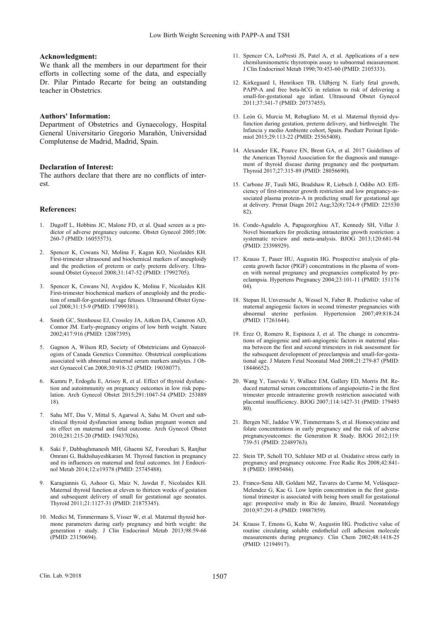#### **Acknowledgment:**

We thank all the members in our department for their efforts in collecting some of the data, and especially Dr. Pilar Pintado Recarte for being an outstanding teacher in Obstetrics.

#### **Authors' Information:**

Department of Obstetrics and Gynaecology, Hospital General Universitario Gregorio Marañón, Universidad Complutense de Madrid, Madrid, Spain.

#### **Declaration of Interest:**

The authors declare that there are no conflicts of interest.

#### **References:**

- 1. Dugoff L, Hobbins JC, Malone FD, et al. Quad screen as a predictor of adverse pregnancy outcome. Obstet Gynecol 2005;106: 260-7 (PMID: 16055573).
- 2. Spencer K, Cowans NJ, Molina F, Kagan KO, Nicolaides KH. First-trimester ultrasound and biochemical markers of aneuploidy and the prediction of preterm or early preterm delivery. Ultrasound Obstet Gynecol 2008;31:147-52 (PMID: 17992705).
- 3. Spencer K, Cowans NJ, Avgidou K, Molina F, Nicolaides KH. First-trimester biochemical markers of aneuploidy and the prediction of small-for-gestational age fetuses. Ultrasound Obstet Gynecol 2008;31:15-9 (PMID: 17999381).
- 4. Smith GC, Stenhouse EJ, Crossley JA, Aitken DA, Cameron AD, Connor JM. Early-pregnancy origins of low birth weight. Nature 2002;417:916 (PMID: 12087395).
- 5. Gagnon A, Wilson RD, Society of Obstetricians and Gynaecologists of Canada Genetics Committee. Obstetrical complications associated with abnormal maternal serum markers analytes. J Obstet Gynaecol Can 2008;30:918-32 (PMID: 19038077).
- 6. Kumru P, Erdogdu E, Arisoy R, et al. Effect of thyroid dysfunction and autoimmunity on pregnancy outcomes in low risk population. Arch Gynecol Obstet 2015;291:1047-54 (PMID: 253889 18).
- 7. Sahu MT, Das V, Mittal S, Agarwal A, Sahu M. Overt and subclinical thyroid dysfunction among Indian pregnant women and its effect on maternal and fetal outcome. Arch Gynecol Obstet 2010;281:215-20 (PMID: 19437026).
- 8. Saki F, Dabbaghmanesh MH, Ghaemi SZ, Forouhari S, Ranjbar Omrani G, Bakhshayeshkaram M. Thyroid function in pregnancy and its influences on maternal and fetal outcomes. Int J Endocrinol Metab 2014;12:e19378 (PMID: 25745488).
- 9. Karagiannis G, Ashoor G, Maiz N, Jawdat F, Nicolaides KH. Maternal thyroid function at eleven to thirteen weeks of gestation and subsequent delivery of small for gestational age neonates. Thyroid 2011;21:1127-31 (PMID: 21875345).
- 10. Medici M, Timmermans S, Visser W, et al. Maternal thyroid hormone parameters during early pregnancy and birth weight: the generation r study. J Clin Endocrinol Metab 2013;98:59-66 (PMID: 23150694).
- 11. Spencer CA, LoPresti JS, Patel A, et al. Applications of a new chemiluminometric thyrotropin assay to subnormal measurement. J Clin Endocrinol Metab 1990;70:453-60 (PMID: 2105333).
- 12. Kirkegaard I, Henriksen TB, Uldbjerg N. Early fetal growth, PAPP-A and free beta-hCG in relation to risk of delivering a small-for-gestational age infant. Ultrasound Obstet Gynecol 2011;37:341-7 (PMID: 20737455).
- 13. León G, Murcia M, Rebagliato M, et al. Maternal thyroid dysfunction during gestation, preterm delivery, and birthweight. The Infancia y medio Ambiente cohort, Spain. Paediatr Perinat Epidemiol 2015;29:113-22 (PMID: 25565408).
- 14. Alexander EK, Pearce EN, Brent GA, et al. 2017 Guidelines of the American Thyroid Association for the diagnosis and management of thyroid disease during pregnancy and the postpartum. Thyroid 2017;27:315-89 (PMID: 28056690).
- 15. Carbone JF, Tuuli MG, Bradshaw R, Liebsch J, Odibo AO. Efficiency of first-trimester growth restriction and low pregnancy-associated plasma protein-A in predicting small for gestational age at delivery. Prenat Diagn 2012 Aug;32(8):724-9 (PMID: 225530 82).
- 16. Conde-Agudelo A, Papageorghiou AT, Kennedy SH, Villar J. Novel biomarkers for predicting intrauterine growth restriction: a systematic review and meta-analysis. BJOG 2013;120:681-94 (PMID: 23398929).
- 17. Krauss T, Pauer HU, Augustin HG. Prospective analysis of placenta growth factor (PlGF) concentrations in the plasma of women with normal pregnancy and pregnancies complicated by preeclampsia. Hypertens Pregnancy 2004;23:101-11 (PMID: 151176  $(04)$
- 18. Stepan H, Unversucht A, Wessel N, Faber R. Predictive value of maternal angiogenic factors in second trimester pregnancies with abnormal uterine perfusion. Hypertension 2007;49:818-24 (PMID: 17261644).
- 19. Erez O, Romero R, Espinoza J, et al. The change in concentrations of angiogenic and anti-angiogenic factors in maternal plasma between the first and second trimesters in risk assessment for the subsequent development of preeclampsia and small-for-gestational age. J Matern Fetal Neonatal Med 2008;21:279-87 (PMID: 18446652).
- 20. Wang Y, Tasevski V, Wallace EM, Gallery ED, Morris JM. Reduced maternal serum concentrations of angiopoietin-2 in the first trimester precede intrauterine growth restriction associated with placental insufficiency. BJOG 2007;114:1427-31 (PMID: 179493 80).
- 21. Bergen NE, Jaddoe VW, Timmermans S, et al. Homocysteine and folate concentrations in early pregnancy and the risk of adverse pregnancyoutcomes: the Generation R Study. BJOG 2012;119: 739-51 (PMID: 22489763).
- 22. Stein TP, Scholl TO, Schluter MD et al. Oxidative stress early in pregnancy and pregnancy outcome. Free Radic Res 2008;42:841- 8 (PMID: 18985484).
- 23. Franco-Sena AB, Goldani MZ, Tavares do Carmo M, Velásquez-Melendez G, Kac G. Low leptin concentration in the first gestational trimester is associated with being born small for gestational age: prospective study in Rio de Janeiro, Brazil. Neonatology 2010;97:291-8 (PMID: 19887859).
- 24. Krauss T, Emons G, Kuhn W, Augustin HG. Predictive value of routine circulating soluble endothelial cell adhesion molecule measurements during pregnancy. Clin Chem 2002;48:1418-25 (PMID: 12194917).